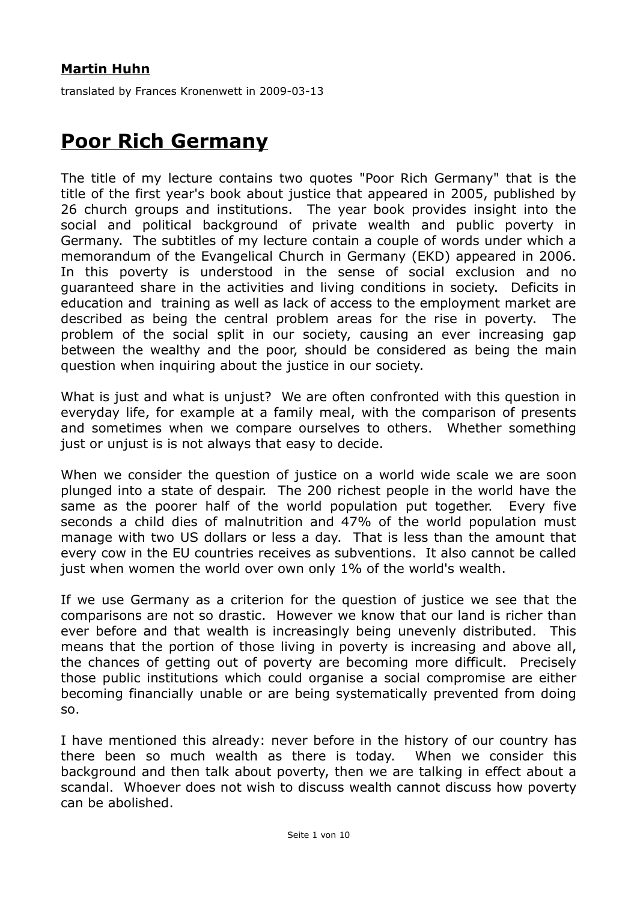## **Martin Huhn**

translated by Frances Kronenwett in 2009-03-13

## **Poor Rich Germany**

The title of my lecture contains two quotes "Poor Rich Germany" that is the title of the first year's book about justice that appeared in 2005, published by 26 church groups and institutions. The year book provides insight into the social and political background of private wealth and public poverty in Germany. The subtitles of my lecture contain a couple of words under which a memorandum of the Evangelical Church in Germany (EKD) appeared in 2006. In this poverty is understood in the sense of social exclusion and no guaranteed share in the activities and living conditions in society. Deficits in education and training as well as lack of access to the employment market are described as being the central problem areas for the rise in poverty. The problem of the social split in our society, causing an ever increasing gap between the wealthy and the poor, should be considered as being the main question when inquiring about the justice in our society.

What is just and what is unjust? We are often confronted with this question in everyday life, for example at a family meal, with the comparison of presents and sometimes when we compare ourselves to others. Whether something just or unjust is is not always that easy to decide.

When we consider the question of justice on a world wide scale we are soon plunged into a state of despair. The 200 richest people in the world have the same as the poorer half of the world population put together. Every five seconds a child dies of malnutrition and 47% of the world population must manage with two US dollars or less a day. That is less than the amount that every cow in the EU countries receives as subventions. It also cannot be called just when women the world over own only 1% of the world's wealth.

If we use Germany as a criterion for the question of justice we see that the comparisons are not so drastic. However we know that our land is richer than ever before and that wealth is increasingly being unevenly distributed. This means that the portion of those living in poverty is increasing and above all, the chances of getting out of poverty are becoming more difficult. Precisely those public institutions which could organise a social compromise are either becoming financially unable or are being systematically prevented from doing so.

I have mentioned this already: never before in the history of our country has there been so much wealth as there is today. When we consider this background and then talk about poverty, then we are talking in effect about a scandal. Whoever does not wish to discuss wealth cannot discuss how poverty can be abolished.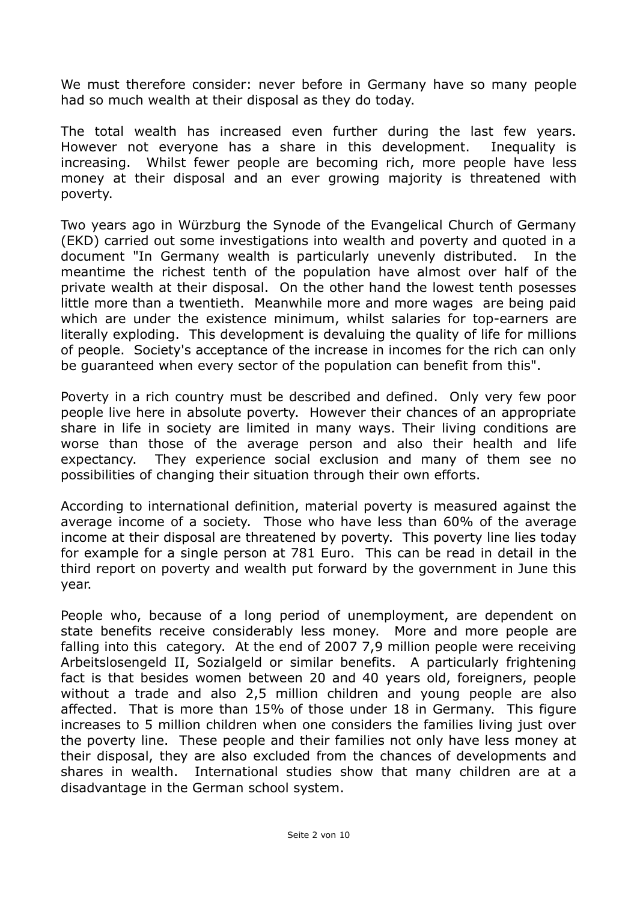We must therefore consider: never before in Germany have so many people had so much wealth at their disposal as they do today.

The total wealth has increased even further during the last few years. However not everyone has a share in this development. Inequality is increasing. Whilst fewer people are becoming rich, more people have less money at their disposal and an ever growing majority is threatened with poverty.

Two years ago in Würzburg the Synode of the Evangelical Church of Germany (EKD) carried out some investigations into wealth and poverty and quoted in a document "In Germany wealth is particularly unevenly distributed. In the meantime the richest tenth of the population have almost over half of the private wealth at their disposal. On the other hand the lowest tenth posesses little more than a twentieth. Meanwhile more and more wages are being paid which are under the existence minimum, whilst salaries for top-earners are literally exploding. This development is devaluing the quality of life for millions of people. Society's acceptance of the increase in incomes for the rich can only be guaranteed when every sector of the population can benefit from this".

Poverty in a rich country must be described and defined. Only very few poor people live here in absolute poverty. However their chances of an appropriate share in life in society are limited in many ways. Their living conditions are worse than those of the average person and also their health and life expectancy. They experience social exclusion and many of them see no possibilities of changing their situation through their own efforts.

According to international definition, material poverty is measured against the average income of a society. Those who have less than 60% of the average income at their disposal are threatened by poverty. This poverty line lies today for example for a single person at 781 Euro. This can be read in detail in the third report on poverty and wealth put forward by the government in June this year.

People who, because of a long period of unemployment, are dependent on state benefits receive considerably less money. More and more people are falling into this category. At the end of 2007 7,9 million people were receiving Arbeitslosengeld II, Sozialgeld or similar benefits. A particularly frightening fact is that besides women between 20 and 40 years old, foreigners, people without a trade and also 2,5 million children and young people are also affected. That is more than 15% of those under 18 in Germany. This figure increases to 5 million children when one considers the families living just over the poverty line. These people and their families not only have less money at their disposal, they are also excluded from the chances of developments and shares in wealth. International studies show that many children are at a disadvantage in the German school system.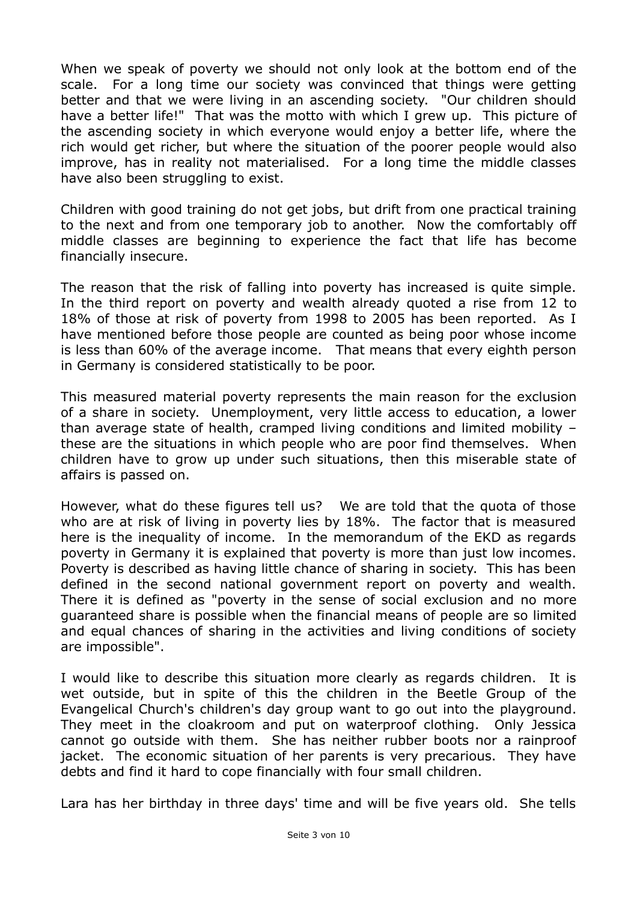When we speak of poverty we should not only look at the bottom end of the scale. For a long time our society was convinced that things were getting better and that we were living in an ascending society. "Our children should have a better life!" That was the motto with which I grew up. This picture of the ascending society in which everyone would enjoy a better life, where the rich would get richer, but where the situation of the poorer people would also improve, has in reality not materialised. For a long time the middle classes have also been struggling to exist.

Children with good training do not get jobs, but drift from one practical training to the next and from one temporary job to another. Now the comfortably off middle classes are beginning to experience the fact that life has become financially insecure.

The reason that the risk of falling into poverty has increased is quite simple. In the third report on poverty and wealth already quoted a rise from 12 to 18% of those at risk of poverty from 1998 to 2005 has been reported. As I have mentioned before those people are counted as being poor whose income is less than 60% of the average income. That means that every eighth person in Germany is considered statistically to be poor.

This measured material poverty represents the main reason for the exclusion of a share in society. Unemployment, very little access to education, a lower than average state of health, cramped living conditions and limited mobility – these are the situations in which people who are poor find themselves. When children have to grow up under such situations, then this miserable state of affairs is passed on.

However, what do these figures tell us? We are told that the quota of those who are at risk of living in poverty lies by 18%. The factor that is measured here is the inequality of income. In the memorandum of the EKD as regards poverty in Germany it is explained that poverty is more than just low incomes. Poverty is described as having little chance of sharing in society. This has been defined in the second national government report on poverty and wealth. There it is defined as "poverty in the sense of social exclusion and no more guaranteed share is possible when the financial means of people are so limited and equal chances of sharing in the activities and living conditions of society are impossible".

I would like to describe this situation more clearly as regards children. It is wet outside, but in spite of this the children in the Beetle Group of the Evangelical Church's children's day group want to go out into the playground. They meet in the cloakroom and put on waterproof clothing. Only Jessica cannot go outside with them. She has neither rubber boots nor a rainproof jacket. The economic situation of her parents is very precarious. They have debts and find it hard to cope financially with four small children.

Lara has her birthday in three days' time and will be five years old. She tells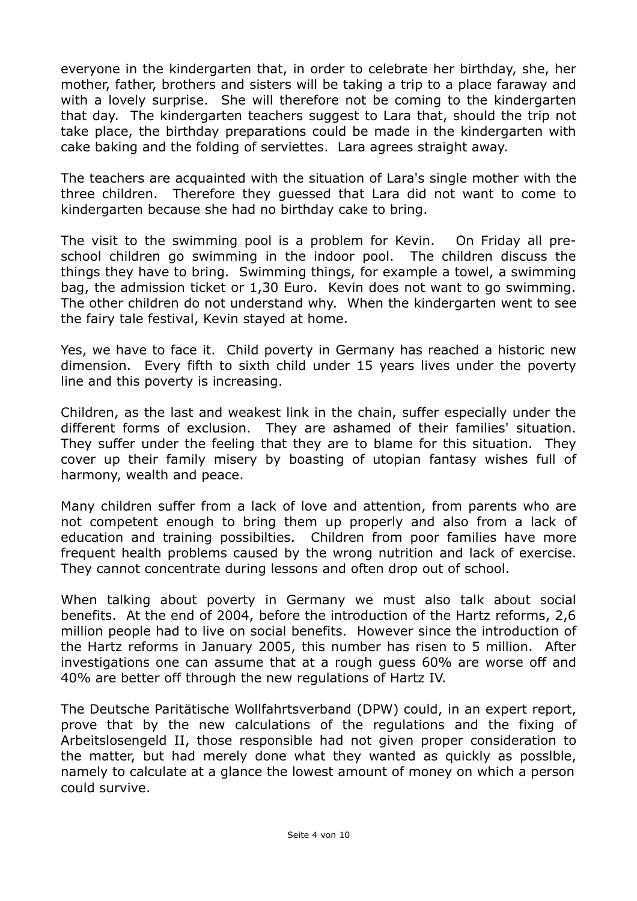everyone in the kindergarten that, in order to celebrate her birthday, she, her mother, father, brothers and sisters will be taking a trip to a place faraway and with a lovely surprise. She will therefore not be coming to the kindergarten that day. The kindergarten teachers suggest to Lara that, should the trip not take place, the birthday preparations could be made in the kindergarten with cake baking and the folding of serviettes. Lara agrees straight away.

The teachers are acquainted with the situation of Lara's single mother with the three children. Therefore they guessed that Lara did not want to come to kindergarten because she had no birthday cake to bring.

The visit to the swimming pool is a problem for Kevin. On Friday all preschool children go swimming in the indoor pool. The children discuss the things they have to bring. Swimming things, for example a towel, a swimming bag, the admission ticket or 1,30 Euro. Kevin does not want to go swimming. The other children do not understand why. When the kindergarten went to see the fairy tale festival, Kevin stayed at home.

Yes, we have to face it. Child poverty in Germany has reached a historic new dimension. Every fifth to sixth child under 15 years lives under the poverty line and this poverty is increasing.

Children, as the last and weakest link in the chain, suffer especially under the different forms of exclusion. They are ashamed of their families' situation. They suffer under the feeling that they are to blame for this situation. They cover up their family misery by boasting of utopian fantasy wishes full of harmony, wealth and peace.

Many children suffer from a lack of love and attention, from parents who are not competent enough to bring them up properly and also from a lack of education and training possibilties. Children from poor families have more frequent health problems caused by the wrong nutrition and lack of exercise. They cannot concentrate during lessons and often drop out of school.

When talking about poverty in Germany we must also talk about social benefits. At the end of 2004, before the introduction of the Hartz reforms, 2,6 million people had to live on social benefits. However since the introduction of the Hartz reforms in January 2005, this number has risen to 5 million. After investigations one can assume that at a rough guess 60% are worse off and 40% are better off through the new regulations of Hartz IV.

The Deutsche Paritätische Wollfahrtsverband (DPW) could, in an expert report, prove that by the new calculations of the regulations and the fixing of Arbeitslosengeld II, those responsible had not given proper consideration to the matter, but had merely done what they wanted as quickly as posslble, namely to calculate at a glance the lowest amount of money on which a person could survive.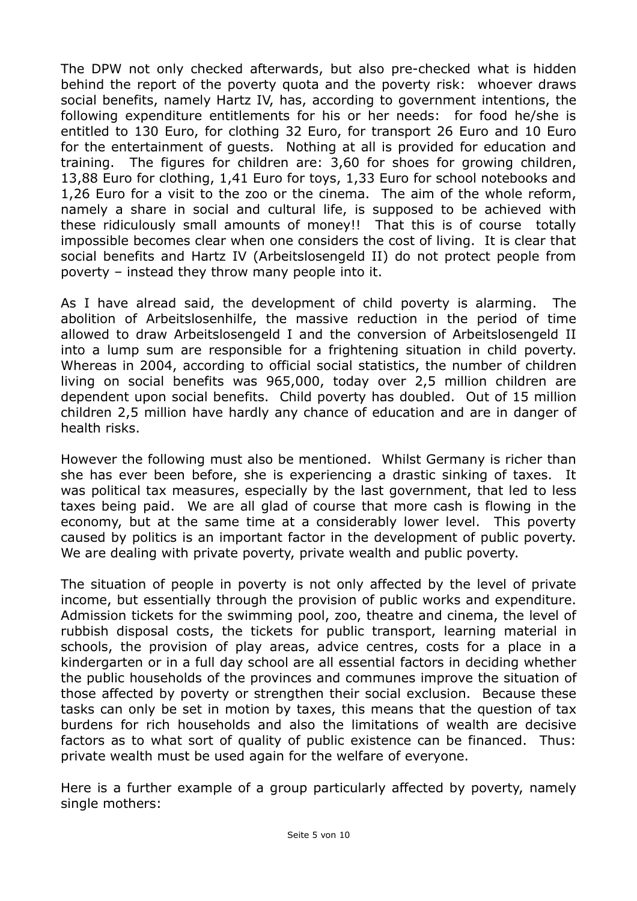The DPW not only checked afterwards, but also pre-checked what is hidden behind the report of the poverty quota and the poverty risk: whoever draws social benefits, namely Hartz IV, has, according to government intentions, the following expenditure entitlements for his or her needs: for food he/she is entitled to 130 Euro, for clothing 32 Euro, for transport 26 Euro and 10 Euro for the entertainment of guests. Nothing at all is provided for education and training. The figures for children are: 3,60 for shoes for growing children, 13,88 Euro for clothing, 1,41 Euro for toys, 1,33 Euro for school notebooks and 1,26 Euro for a visit to the zoo or the cinema. The aim of the whole reform, namely a share in social and cultural life, is supposed to be achieved with these ridiculously small amounts of money!! That this is of course totally impossible becomes clear when one considers the cost of living. It is clear that social benefits and Hartz IV (Arbeitslosengeld II) do not protect people from poverty – instead they throw many people into it.

As I have alread said, the development of child poverty is alarming. The abolition of Arbeitslosenhilfe, the massive reduction in the period of time allowed to draw Arbeitslosengeld I and the conversion of Arbeitslosengeld II into a lump sum are responsible for a frightening situation in child poverty. Whereas in 2004, according to official social statistics, the number of children living on social benefits was 965,000, today over 2,5 million children are dependent upon social benefits. Child poverty has doubled. Out of 15 million children 2,5 million have hardly any chance of education and are in danger of health risks.

However the following must also be mentioned. Whilst Germany is richer than she has ever been before, she is experiencing a drastic sinking of taxes. It was political tax measures, especially by the last government, that led to less taxes being paid. We are all glad of course that more cash is flowing in the economy, but at the same time at a considerably lower level. This poverty caused by politics is an important factor in the development of public poverty. We are dealing with private poverty, private wealth and public poverty.

The situation of people in poverty is not only affected by the level of private income, but essentially through the provision of public works and expenditure. Admission tickets for the swimming pool, zoo, theatre and cinema, the level of rubbish disposal costs, the tickets for public transport, learning material in schools, the provision of play areas, advice centres, costs for a place in a kindergarten or in a full day school are all essential factors in deciding whether the public households of the provinces and communes improve the situation of those affected by poverty or strengthen their social exclusion. Because these tasks can only be set in motion by taxes, this means that the question of tax burdens for rich households and also the limitations of wealth are decisive factors as to what sort of quality of public existence can be financed. Thus: private wealth must be used again for the welfare of everyone.

Here is a further example of a group particularly affected by poverty, namely single mothers: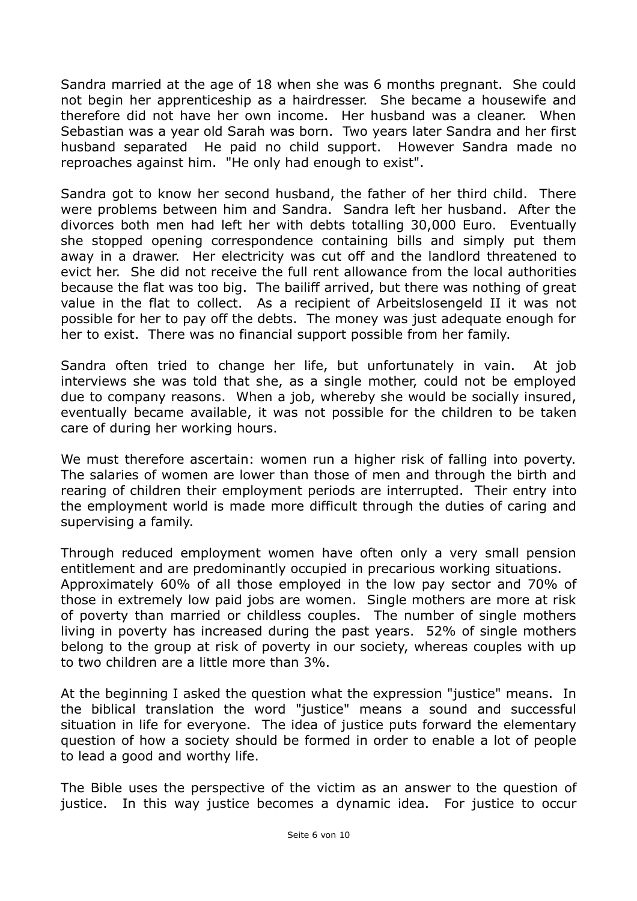Sandra married at the age of 18 when she was 6 months pregnant. She could not begin her apprenticeship as a hairdresser. She became a housewife and therefore did not have her own income. Her husband was a cleaner. When Sebastian was a year old Sarah was born. Two years later Sandra and her first husband separated He paid no child support. However Sandra made no reproaches against him. "He only had enough to exist".

Sandra got to know her second husband, the father of her third child. There were problems between him and Sandra. Sandra left her husband. After the divorces both men had left her with debts totalling 30,000 Euro. Eventually she stopped opening correspondence containing bills and simply put them away in a drawer. Her electricity was cut off and the landlord threatened to evict her. She did not receive the full rent allowance from the local authorities because the flat was too big. The bailiff arrived, but there was nothing of great value in the flat to collect. As a recipient of Arbeitslosengeld II it was not possible for her to pay off the debts. The money was just adequate enough for her to exist. There was no financial support possible from her family.

Sandra often tried to change her life, but unfortunately in vain. At job interviews she was told that she, as a single mother, could not be employed due to company reasons. When a job, whereby she would be socially insured, eventually became available, it was not possible for the children to be taken care of during her working hours.

We must therefore ascertain: women run a higher risk of falling into poverty. The salaries of women are lower than those of men and through the birth and rearing of children their employment periods are interrupted. Their entry into the employment world is made more difficult through the duties of caring and supervising a family.

Through reduced employment women have often only a very small pension entitlement and are predominantly occupied in precarious working situations. Approximately 60% of all those employed in the low pay sector and 70% of those in extremely low paid jobs are women. Single mothers are more at risk of poverty than married or childless couples. The number of single mothers living in poverty has increased during the past years. 52% of single mothers belong to the group at risk of poverty in our society, whereas couples with up to two children are a little more than 3%.

At the beginning I asked the question what the expression "justice" means. In the biblical translation the word "justice" means a sound and successful situation in life for everyone. The idea of justice puts forward the elementary question of how a society should be formed in order to enable a lot of people to lead a good and worthy life.

The Bible uses the perspective of the victim as an answer to the question of justice. In this way justice becomes a dynamic idea. For justice to occur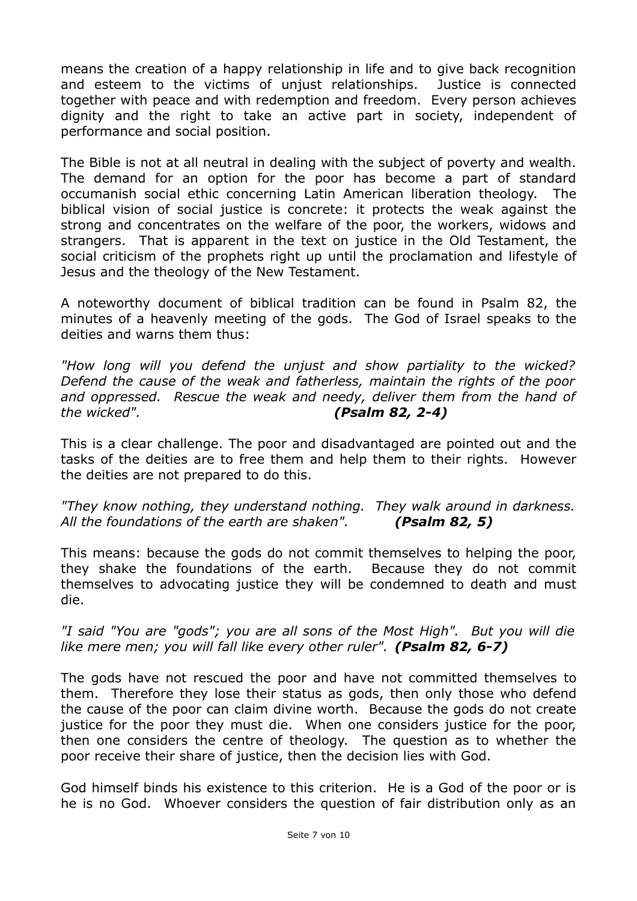means the creation of a happy relationship in life and to give back recognition and esteem to the victims of unjust relationships. Justice is connected together with peace and with redemption and freedom. Every person achieves dignity and the right to take an active part in society, independent of performance and social position.

The Bible is not at all neutral in dealing with the subject of poverty and wealth. The demand for an option for the poor has become a part of standard occumanish social ethic concerning Latin American liberation theology. The biblical vision of social justice is concrete: it protects the weak against the strong and concentrates on the welfare of the poor, the workers, widows and strangers. That is apparent in the text on justice in the Old Testament, the social criticism of the prophets right up until the proclamation and lifestyle of Jesus and the theology of the New Testament.

A noteworthy document of biblical tradition can be found in Psalm 82, the minutes of a heavenly meeting of the gods. The God of Israel speaks to the deities and warns them thus:

*"How long will you defend the unjust and show partiality to the wicked? Defend the cause of the weak and fatherless, maintain the rights of the poor and oppressed. Rescue the weak and needy, deliver them from the hand of the wicked". (Psalm 82, 2-4)*

This is a clear challenge. The poor and disadvantaged are pointed out and the tasks of the deities are to free them and help them to their rights. However the deities are not prepared to do this.

*"They know nothing, they understand nothing. They walk around in darkness. All the foundations of the earth are shaken". (Psalm 82, 5)*

This means: because the gods do not commit themselves to helping the poor, they shake the foundations of the earth. Because they do not commit themselves to advocating justice they will be condemned to death and must die.

*"I said "You are "gods"; you are all sons of the Most High". But you will die like mere men; you will fall like every other ruler". (Psalm 82, 6-7)*

The gods have not rescued the poor and have not committed themselves to them. Therefore they lose their status as gods, then only those who defend the cause of the poor can claim divine worth. Because the gods do not create justice for the poor they must die. When one considers justice for the poor, then one considers the centre of theology. The question as to whether the poor receive their share of justice, then the decision lies with God.

God himself binds his existence to this criterion. He is a God of the poor or is he is no God. Whoever considers the question of fair distribution only as an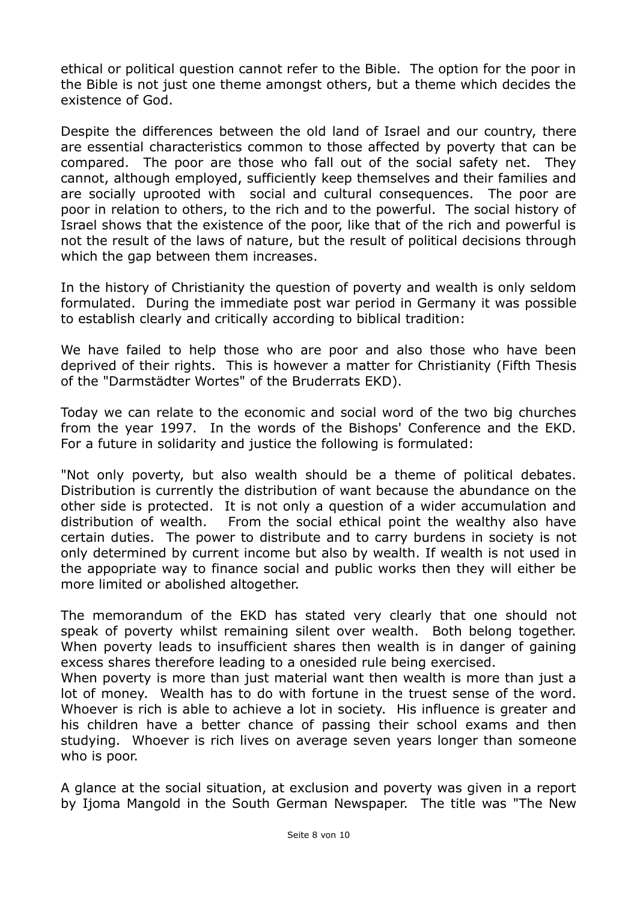ethical or political question cannot refer to the Bible. The option for the poor in the Bible is not just one theme amongst others, but a theme which decides the existence of God.

Despite the differences between the old land of Israel and our country, there are essential characteristics common to those affected by poverty that can be compared. The poor are those who fall out of the social safety net. They cannot, although employed, sufficiently keep themselves and their families and are socially uprooted with social and cultural consequences. The poor are poor in relation to others, to the rich and to the powerful. The social history of Israel shows that the existence of the poor, like that of the rich and powerful is not the result of the laws of nature, but the result of political decisions through which the gap between them increases.

In the history of Christianity the question of poverty and wealth is only seldom formulated. During the immediate post war period in Germany it was possible to establish clearly and critically according to biblical tradition:

We have failed to help those who are poor and also those who have been deprived of their rights. This is however a matter for Christianity (Fifth Thesis of the "Darmstädter Wortes" of the Bruderrats EKD).

Today we can relate to the economic and social word of the two big churches from the year 1997. In the words of the Bishops' Conference and the EKD. For a future in solidarity and justice the following is formulated:

"Not only poverty, but also wealth should be a theme of political debates. Distribution is currently the distribution of want because the abundance on the other side is protected. It is not only a question of a wider accumulation and distribution of wealth. From the social ethical point the wealthy also have certain duties. The power to distribute and to carry burdens in society is not only determined by current income but also by wealth. If wealth is not used in the appopriate way to finance social and public works then they will either be more limited or abolished altogether.

The memorandum of the EKD has stated very clearly that one should not speak of poverty whilst remaining silent over wealth. Both belong together. When poverty leads to insufficient shares then wealth is in danger of gaining excess shares therefore leading to a onesided rule being exercised.

When poverty is more than just material want then wealth is more than just a lot of money. Wealth has to do with fortune in the truest sense of the word. Whoever is rich is able to achieve a lot in society. His influence is greater and his children have a better chance of passing their school exams and then studying. Whoever is rich lives on average seven years longer than someone who is poor.

A glance at the social situation, at exclusion and poverty was given in a report by Ijoma Mangold in the South German Newspaper. The title was "The New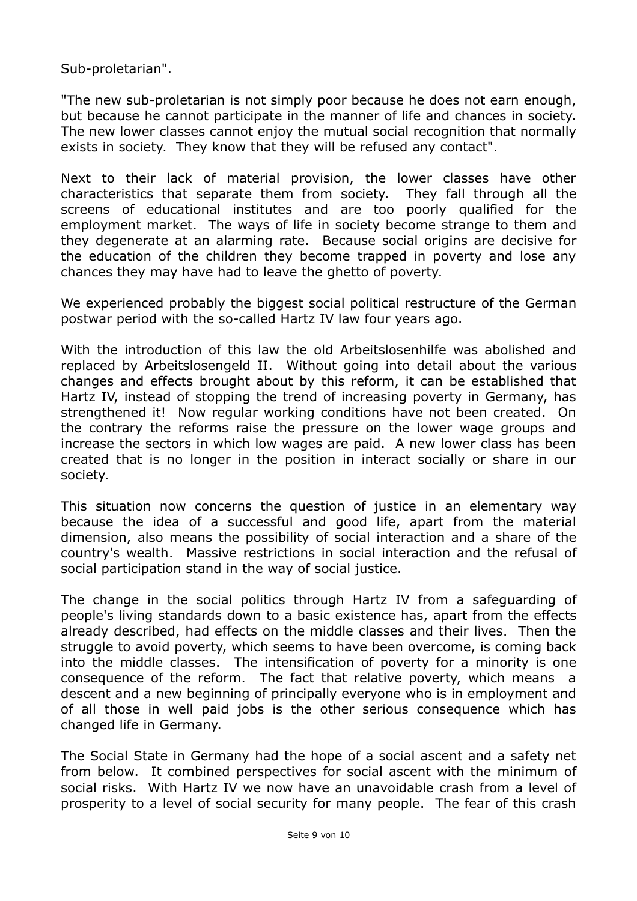Sub-proletarian".

"The new sub-proletarian is not simply poor because he does not earn enough, but because he cannot participate in the manner of life and chances in society. The new lower classes cannot enjoy the mutual social recognition that normally exists in society. They know that they will be refused any contact".

Next to their lack of material provision, the lower classes have other characteristics that separate them from society. They fall through all the screens of educational institutes and are too poorly qualified for the employment market. The ways of life in society become strange to them and they degenerate at an alarming rate. Because social origins are decisive for the education of the children they become trapped in poverty and lose any chances they may have had to leave the ghetto of poverty.

We experienced probably the biggest social political restructure of the German postwar period with the so-called Hartz IV law four years ago.

With the introduction of this law the old Arbeitslosenhilfe was abolished and replaced by Arbeitslosengeld II. Without going into detail about the various changes and effects brought about by this reform, it can be established that Hartz IV, instead of stopping the trend of increasing poverty in Germany, has strengthened it! Now regular working conditions have not been created. On the contrary the reforms raise the pressure on the lower wage groups and increase the sectors in which low wages are paid. A new lower class has been created that is no longer in the position in interact socially or share in our society.

This situation now concerns the question of justice in an elementary way because the idea of a successful and good life, apart from the material dimension, also means the possibility of social interaction and a share of the country's wealth. Massive restrictions in social interaction and the refusal of social participation stand in the way of social justice.

The change in the social politics through Hartz IV from a safeguarding of people's living standards down to a basic existence has, apart from the effects already described, had effects on the middle classes and their lives. Then the struggle to avoid poverty, which seems to have been overcome, is coming back into the middle classes. The intensification of poverty for a minority is one consequence of the reform. The fact that relative poverty, which means a descent and a new beginning of principally everyone who is in employment and of all those in well paid jobs is the other serious consequence which has changed life in Germany.

The Social State in Germany had the hope of a social ascent and a safety net from below. It combined perspectives for social ascent with the minimum of social risks. With Hartz IV we now have an unavoidable crash from a level of prosperity to a level of social security for many people. The fear of this crash